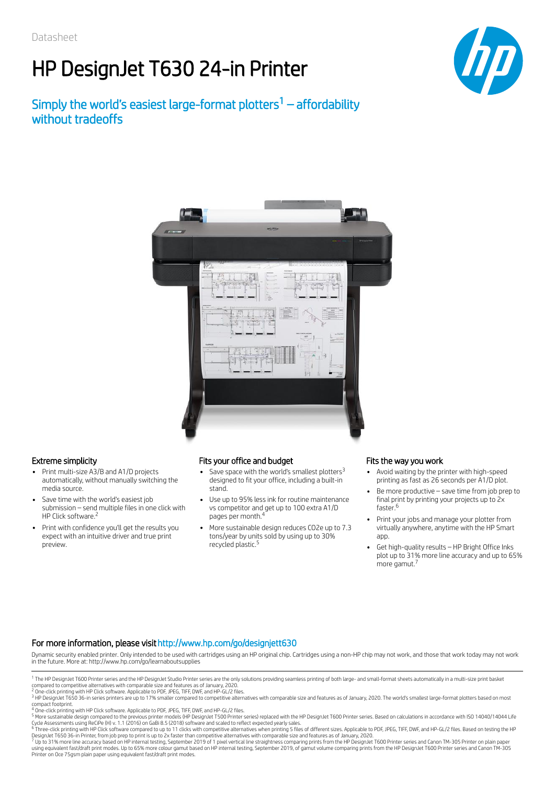# HP DesignJet T630 24-in Printer

## Simply the world's easiest large-format plotters $1 -$  affordability without tradeoffs





- Print multi-size A3/B and A1/D projects automatically, without manually switching the media source.
- Save time with the world's easiest job submission – send multiple files in one click with HP Click software.<sup>2</sup>
- Print with confidence you'll get the results you expect with an intuitive driver and true print preview.

### Extreme simplicity Fits your office and budget Fits the way you work

- Save space with the world's smallest plotters<sup>3</sup> designed to fit your office, including a built-in stand.
- Use up to 95% less ink for routine maintenance vs competitor and get up to 100 extra A1/D pages per month. 4
- More sustainable design reduces CO2e up to 7.3 tons/year by units sold by using up to 30% recycled plastic. 5

- Avoid waiting by the printer with high-speed printing as fast as 26 seconds per A1/D plot.
- Be more productive save time from job prep to final print by printing your projects up to 2x faster. 6
- Print your jobs and manage your plotter from virtually anywhere, anytime with the HP Smart app.
- Get high-quality results HP Bright Office Inks plot up to 31% more line accuracy and up to 65% more gamut. 7

### For more information, please visithttp://www.hp.com/go/designjett630

Dynamic security enabled printer. Only intended to be used with cartridges using an HP original chip. Cartridges using a non-HP chip may not work, and those that work today may not work in the future. More at: http://www.hp.com/go/learnaboutsupplies

Printer on Oce 75gsm plain paper using equivalent fast/draft print modes.

<sup>&</sup>lt;sup>1</sup> The HP DesignJet T600 Printer series and the HP DesignJet Studio Printer series are the only solutions providing seamless printing of both large- and small-format sheets automatically in a multi-size print basket<br>compa 1

<sup>2</sup> 3

<sup>4</sup> 5

compact footprint.<br><sup>4</sup> One-click printing with HP Click software. Applicable to PDF, JPEG, TIFF, DWF, and HP-GL/2 files.<br><sup>5</sup> More sustainable design compared to the previous printer models (HP DesignJet T500 Printer series 6

DesignJet T650 36-in Printer, from job prep to print is up to 2x faster than competitive alternatives with comparable size and features as of January, 2020.<br><sup>7</sup> Up to 31% more line accuracy based on HP internal testing, Se